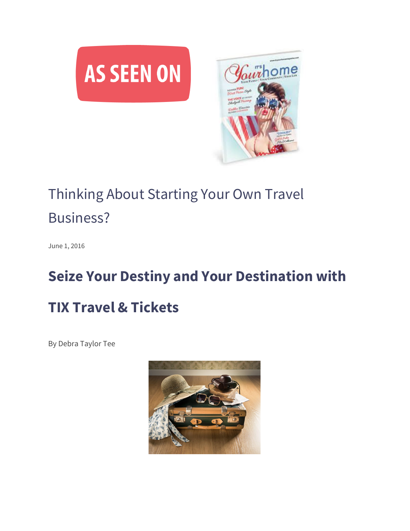

## Thinking About Starting Your Own Travel Business?

June 1, 2016

## **Seize Your Destiny and Your Destination with TIX Travel & Tickets**

By Debra Taylor Tee

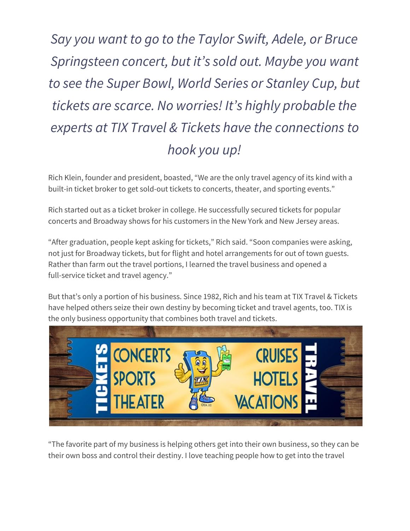## *Say you want to go to the Taylor Swift, Adele, or Bruce Springsteen concert, but it's sold out. Maybe you want to see the Super Bowl, World Series or Stanley Cup, but tickets are scarce. No worries! It's highly probable the experts at TIX Travel & Tickets have the connections to hook you up!*

Rich Klein, founder and president, boasted, "We are the only travel agency of its kind with a built-in ticket broker to get sold-out tickets to concerts, theater, and sporting events."

Rich started out as a ticket broker in college. He successfully secured tickets for popular concerts and Broadway shows for his customers in the New York and New Jersey areas.

"After graduation, people kept asking for tickets," Rich said. "Soon companies were asking, not just for Broadway tickets, but for flight and hotel arrangements for out of town guests. Rather than farm out the travel portions, I learned the travel business and opened a full-service ticket and travel agency."

But that's only a portion of his business. Since 1982, Rich and his team at TIX Travel & Tickets have helped others seize their own destiny by becoming ticket and travel agents, too. TIX is the only business opportunity that combines both travel and tickets.



"The favorite part of my business is helping others get into their own business, so they can be their own boss and control their destiny. I love teaching people how to get into the travel